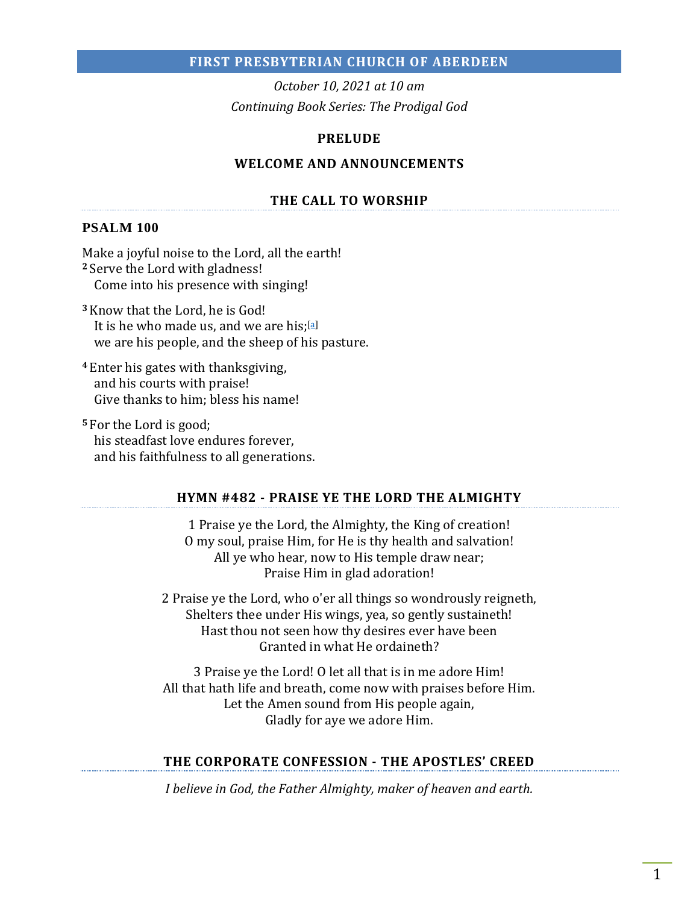## **FIRST PRESBYTERIAN CHURCH OF ABERDEEN**

*October 10, 2021 at 10 am Continuing Book Series: The Prodigal God*

### **PRELUDE**

#### **WELCOME AND ANNOUNCEMENTS**

### **THE CALL TO WORSHIP**

### **PSALM 100**

Make a joyful noise to the Lord, all the earth! **<sup>2</sup>** Serve the Lord with gladness! Come into his presence with singing!

**<sup>3</sup>**Know that the Lord, he is God! It is he who made us, and we are his;[\[a\]](https://www.biblegateway.com/passage/?search=Psalm+100&version=ESV#fen-ESV-15512a) we are his people, and the sheep of his pasture.

**<sup>4</sup>** Enter his gates with thanksgiving, and his courts with praise! Give thanks to him; bless his name!

**<sup>5</sup>** For the Lord is good; his steadfast love endures forever, and his faithfulness to all generations.

#### **HYMN #482 - PRAISE YE THE LORD THE ALMIGHTY**

1 Praise ye the Lord, the Almighty, the King of creation! O my soul, praise Him, for He is thy health and salvation! All ye who hear, now to His temple draw near; Praise Him in glad adoration!

2 Praise ye the Lord, who o'er all things so wondrously reigneth, Shelters thee under His wings, yea, so gently sustaineth! Hast thou not seen how thy desires ever have been Granted in what He ordaineth?

3 Praise ye the Lord! O let all that is in me adore Him! All that hath life and breath, come now with praises before Him. Let the Amen sound from His people again, Gladly for aye we adore Him.

### **THE CORPORATE CONFESSION - THE APOSTLES' CREED**

*I believe in God, the Father Almighty, maker of heaven and earth.*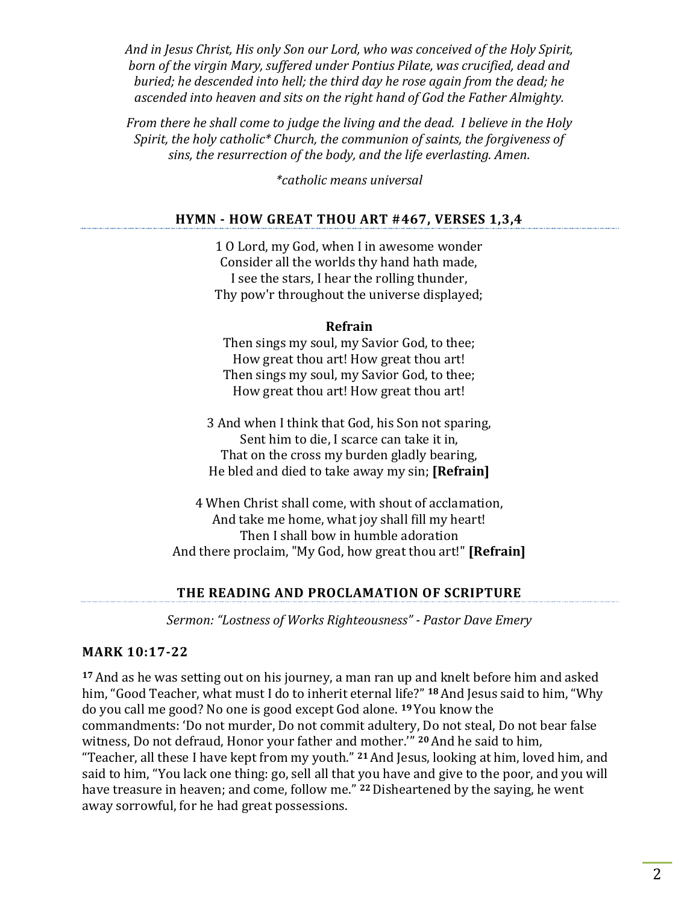*And in Jesus Christ, His only Son our Lord, who was conceived of the Holy Spirit, born of the virgin Mary, suffered under Pontius Pilate, was crucified, dead and buried; he descended into hell; the third day he rose again from the dead; he ascended into heaven and sits on the right hand of God the Father Almighty.*

*From there he shall come to judge the living and the dead. I believe in the Holy Spirit, the holy catholic\* Church, the communion of saints, the forgiveness of sins, the resurrection of the body, and the life everlasting. Amen.*

*\*catholic means universal*

### **HYMN - HOW GREAT THOU ART #467, VERSES 1,3,4**

1 O Lord, my God, when I in awesome wonder Consider all the worlds thy hand hath made, I see the stars, I hear the rolling thunder, Thy pow'r throughout the universe displayed;

#### **Refrain**

Then sings my soul, my Savior God, to thee; How great thou art! How great thou art! Then sings my soul, my Savior God, to thee; How great thou art! How great thou art!

3 And when I think that God, his Son not sparing, Sent him to die, I scarce can take it in, That on the cross my burden gladly bearing, He bled and died to take away my sin; **[Refrain]**

4 When Christ shall come, with shout of acclamation, And take me home, what joy shall fill my heart! Then I shall bow in humble adoration And there proclaim, "My God, how great thou art!" **[Refrain]**

### **THE READING AND PROCLAMATION OF SCRIPTURE**

*Sermon: "Lostness of Works Righteousness" - Pastor Dave Emery*

### **MARK 10:17-22**

**<sup>17</sup>**And as he was setting out on his journey, a man ran up and knelt before him and asked him, "Good Teacher, what must I do to inherit eternal life?" **<sup>18</sup>**And Jesus said to him, "Why do you call me good? No one is good except God alone. **<sup>19</sup>** You know the commandments: 'Do not murder, Do not commit adultery, Do not steal, Do not bear false witness, Do not defraud, Honor your father and mother.'" **<sup>20</sup>**And he said to him, "Teacher, all these I have kept from my youth." **<sup>21</sup>**And Jesus, looking at him, loved him, and said to him, "You lack one thing: go, sell all that you have and give to the poor, and you will have treasure in heaven; and come, follow me." **<sup>22</sup>**Disheartened by the saying, he went away sorrowful, for he had great possessions.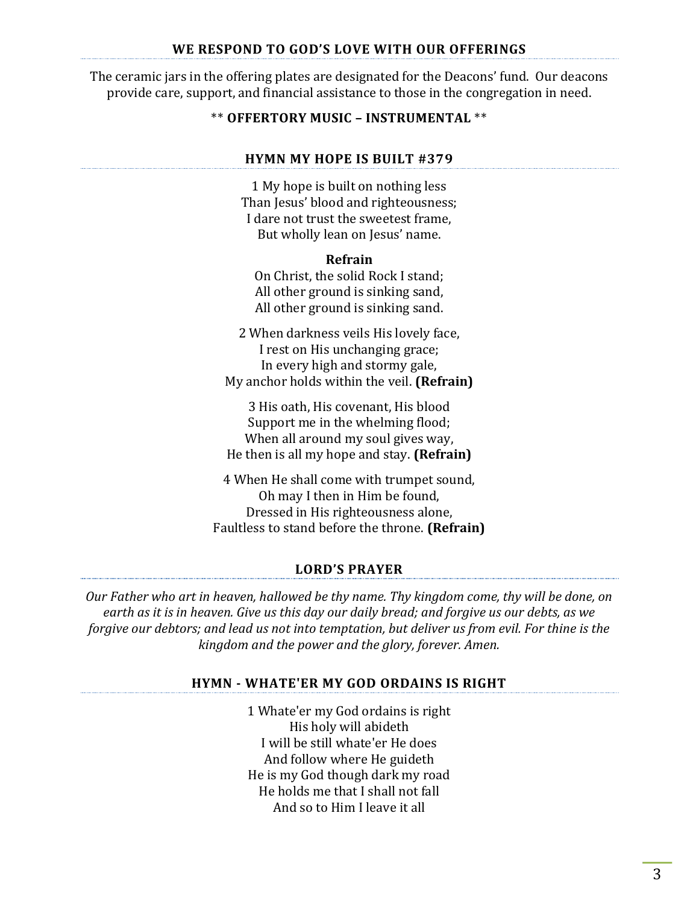The ceramic jars in the offering plates are designated for the Deacons' fund. Our deacons provide care, support, and financial assistance to those in the congregation in need.

## \*\* **OFFERTORY MUSIC – INSTRUMENTAL** \*\*

## **HYMN MY HOPE IS BUILT #379**

1 My hope is built on nothing less Than Jesus' blood and righteousness; I dare not trust the sweetest frame, But wholly lean on Jesus' name.

### **Refrain**

On Christ, the solid Rock I stand; All other ground is sinking sand, All other ground is sinking sand.

2 When darkness veils His lovely face, I rest on His unchanging grace; In every high and stormy gale, My anchor holds within the veil. **(Refrain)**

3 His oath, His covenant, His blood Support me in the whelming flood; When all around my soul gives way, He then is all my hope and stay. **(Refrain)**

4 When He shall come with trumpet sound, Oh may I then in Him be found, Dressed in His righteousness alone, Faultless to stand before the throne. **(Refrain)**

### **LORD'S PRAYER**

*Our Father who art in heaven, hallowed be thy name. Thy kingdom come, thy will be done, on earth as it is in heaven. Give us this day our daily bread; and forgive us our debts, as we forgive our debtors; and lead us not into temptation, but deliver us from evil. For thine is the kingdom and the power and the glory, forever. Amen.*

# **HYMN - WHATE'ER MY GOD ORDAINS IS RIGHT**

1 Whate'er my God ordains is right His holy will abideth I will be still whate'er He does And follow where He guideth He is my God though dark my road He holds me that I shall not fall And so to Him I leave it all